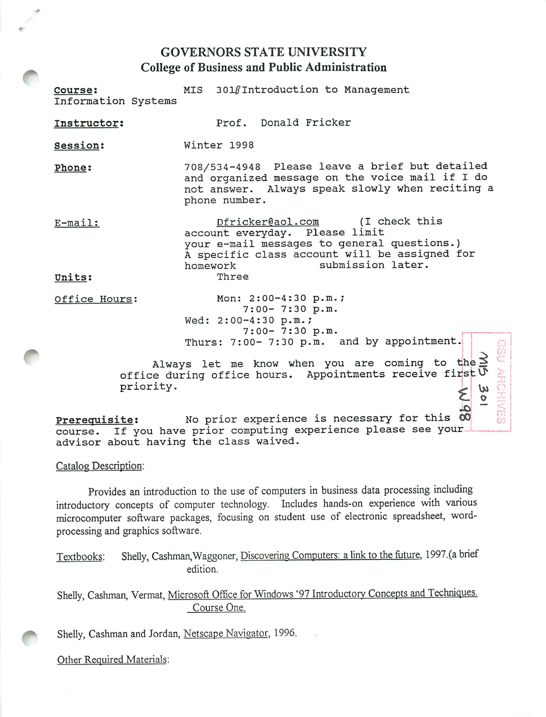## *GOVERNORS STATE UNIVERSITY* College of Business and Public Administration

| Course:<br>Information Systems                                                                                                                                             | MIS 301 fIntroduction to Management                                                                                                                                                               |  |  |  |
|----------------------------------------------------------------------------------------------------------------------------------------------------------------------------|---------------------------------------------------------------------------------------------------------------------------------------------------------------------------------------------------|--|--|--|
| Instructor:                                                                                                                                                                | Prof. Donald Fricker                                                                                                                                                                              |  |  |  |
| Session:                                                                                                                                                                   | Winter 1998                                                                                                                                                                                       |  |  |  |
| Phone:                                                                                                                                                                     | 708/534-4948 Please leave a brief but detailed<br>and organized message on the voice mail if I do<br>not answer. Always speak slowly when reciting a<br>phone number.                             |  |  |  |
| $E$ -mail:                                                                                                                                                                 | Dfricker@aol.com (I check this<br>account everyday. Please limit<br>your e-mail messages to general questions.)<br>A specific class account will be assigned for<br>submission later.<br>homework |  |  |  |
| Units:                                                                                                                                                                     | Three                                                                                                                                                                                             |  |  |  |
| Office Hours:                                                                                                                                                              | Mon: 2:00-4:30 p.m.;<br>$7:00 - 7:30 p.m.$<br>Wed: 2:00-4:30 p.m.;<br>$7:00 - 7:30 p.m.$                                                                                                          |  |  |  |
|                                                                                                                                                                            | Thurs: 7:00- 7:30 p.m. and by appointment.<br>ë                                                                                                                                                   |  |  |  |
| Always let me know when you are coming to the $\geq$<br>office during office hours. Appointments receive first U<br>Del P<br>priority.<br>ω<br>$\circ$                     |                                                                                                                                                                                                   |  |  |  |
| No prior experience is necessary for this 00<br>Prerequisite:<br>course. If you have prior computing experience please see your-<br>advisor about having the class waived. |                                                                                                                                                                                                   |  |  |  |

Catalog Description:

*r*

Provides an introduction to the use of computers in business data processing including introductory concepts of computer technology. Includes hands-on experience with various microcomputer software packages, focusing on student use of electronic spreadsheet, wordprocessing and graphics software.

Textbooks: Shelly, Cashman,Waggoner, Discovering Computers: alink to the future, 1997.(a brief edition.

Shelly, Cashman, Vermat, Microsoft Office for Windows '97 Introductory Concepts and Techniques-Course One.

Shelly, Cashman and Jordan, Netscape Navigator, 1996.

Other Required Materials: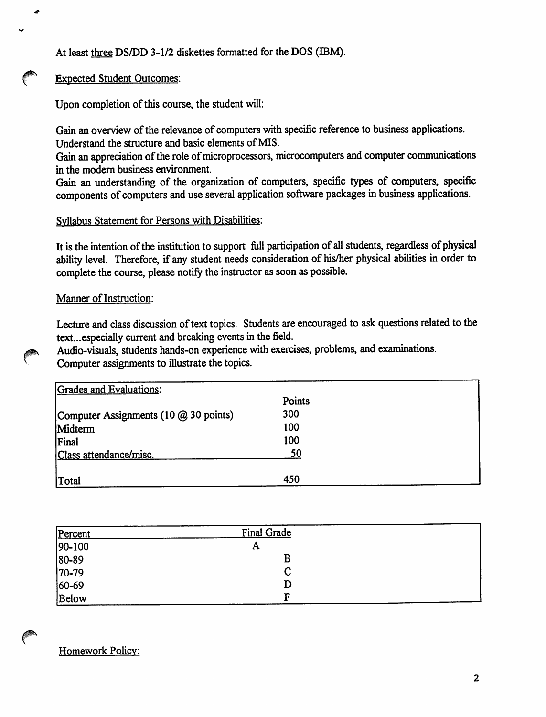*At least three DS/DD 3-1/2 diskettes formatted for the DOS (TOM).*

## *Expected Student Outcomes:*

ė

*Upon* completion of this course, the student will:

*Gain anoverviewofthe relevance of computers with specific reference to business applications. Understand the structure and basic elements ofMIS.*

Gain an appreciation of the role of microprocessors, microcomputers and computer communications *in the modern business environment.*

*Gain an understanding of the organization of computers, specific types of computers, specific components ofcomputers and use several application software packages inbusiness applications.*

## *Syllabus Statement for Persons with Disabilities:*

*It isthe intention ofthe institution to support full participation ofall students, regardless ofphysical ability level. Therefore, if any student needs consideration of his/her physical abilities in order to complete the course, please notify theinstructor as soon as possible.*

## **Manner** of Instruction:

Lecture and class discussion of text topics. Students are encouraged to ask questions related to the *text...especially current and breaking events inthe field.*

*Audio-visuals, students hands-on experience with exercises, problems, and examinations. Computer assignments to illustrate the topics.*

| Grades and Evaluations:               |        |  |
|---------------------------------------|--------|--|
|                                       | Points |  |
| Computer Assignments (10 @ 30 points) | 300    |  |
| Midterm                               | 100    |  |
| Final                                 | 100    |  |
| Class attendance/misc.                | 50     |  |
|                                       |        |  |
| Total                                 | 450    |  |

| Percent  | Final Grade |  |
|----------|-------------|--|
| $90-100$ | А           |  |
| 80-89    | B           |  |
| 70-79    | С           |  |
| 60-69    | D           |  |
| Below    | F           |  |